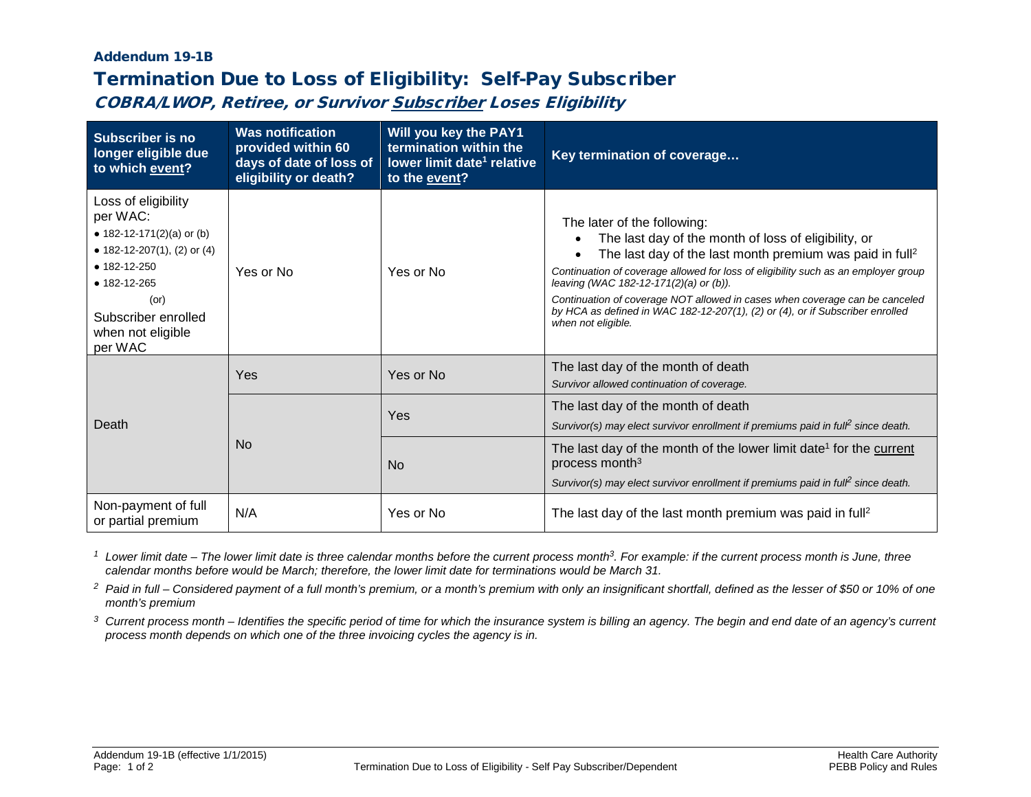## Addendum 19-1B Termination Due to Loss of Eligibility: Self-Pay Subscriber

COBRA/LWOP, Retiree, or Survivor Subscriber Loses Eligibility

| <b>Subscriber is no</b><br>longer eligible due<br>to which event?                                                                                                                                      | <b>Was notification</b><br>provided within 60<br>days of date of loss of<br>eligibility or death? | Will you key the PAY1<br>termination within the<br>lower limit date <sup>1</sup> relative<br>to the event? | Key termination of coverage                                                                                                                                                                                                                                                                                                                                                                                                                                                       |
|--------------------------------------------------------------------------------------------------------------------------------------------------------------------------------------------------------|---------------------------------------------------------------------------------------------------|------------------------------------------------------------------------------------------------------------|-----------------------------------------------------------------------------------------------------------------------------------------------------------------------------------------------------------------------------------------------------------------------------------------------------------------------------------------------------------------------------------------------------------------------------------------------------------------------------------|
| Loss of eligibility<br>per WAC:<br>• 182-12-171(2)(a) or (b)<br>• 182-12-207(1), (2) or (4)<br>$• 182 - 12 - 250$<br>• 182-12-265<br>$($ or $)$<br>Subscriber enrolled<br>when not eligible<br>per WAC | Yes or No                                                                                         | Yes or No                                                                                                  | The later of the following:<br>The last day of the month of loss of eligibility, or<br>The last day of the last month premium was paid in full <sup>2</sup><br>Continuation of coverage allowed for loss of eligibility such as an employer group<br>leaving (WAC 182-12-171(2)(a) or (b)).<br>Continuation of coverage NOT allowed in cases when coverage can be canceled<br>by HCA as defined in WAC 182-12-207(1), (2) or (4), or if Subscriber enrolled<br>when not eligible. |
| Death                                                                                                                                                                                                  | Yes                                                                                               | Yes or No                                                                                                  | The last day of the month of death<br>Survivor allowed continuation of coverage.                                                                                                                                                                                                                                                                                                                                                                                                  |
|                                                                                                                                                                                                        | <b>No</b>                                                                                         | Yes                                                                                                        | The last day of the month of death<br>Survivor(s) may elect survivor enrollment if premiums paid in full <sup>2</sup> since death.                                                                                                                                                                                                                                                                                                                                                |
|                                                                                                                                                                                                        |                                                                                                   | <b>No</b>                                                                                                  | The last day of the month of the lower limit date <sup>1</sup> for the current<br>process month <sup>3</sup><br>Survivor(s) may elect survivor enrollment if premiums paid in full <sup>2</sup> since death.                                                                                                                                                                                                                                                                      |
| Non-payment of full<br>or partial premium                                                                                                                                                              | N/A                                                                                               | Yes or No                                                                                                  | The last day of the last month premium was paid in full <sup>2</sup>                                                                                                                                                                                                                                                                                                                                                                                                              |

*<sup>1</sup> Lower limit date – The lower limit date is three calendar months before the current process month3. For example: if the current process month is June, three calendar months before would be March; therefore, the lower limit date for terminations would be March 31.*

*<sup>2</sup> Paid in full – Considered payment of a full month's premium, or a month's premium with only an insignificant shortfall, defined as the lesser of \$50 or 10% of one month's premium*

*<sup>3</sup> Current process month – Identifies the specific period of time for which the insurance system is billing an agency. The begin and end date of an agency's current process month depends on which one of the three invoicing cycles the agency is in.*